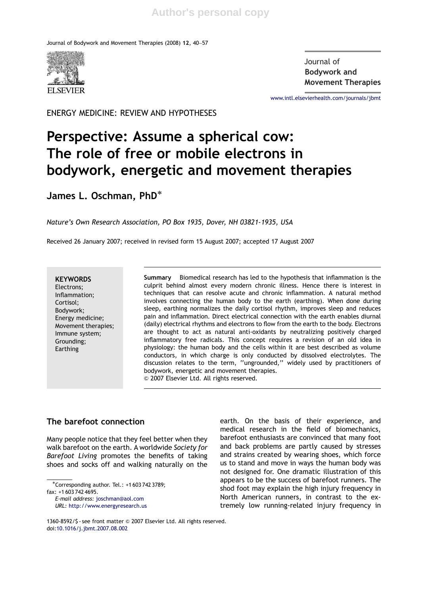Journal of Bodywork and Movement Therapies (2008) 12, 40–57



**Bodywork and** Journal of**Movement Therapies**

www.intl.elsevierhealth.com/journals/jbmt

ENERGY MEDICINE: REVIEW AND HYPOTHESES

# Perspective: Assume a spherical cow: The role of free or mobile electrons in bodywork, energetic and movement therapies

James L. Oschman,  $\mathsf{PhD}^*$ 

Nature's Own Research Association, PO Box 1935, Dover, NH 03821-1935, USA

Received 26 January 2007; received in revised form 15 August 2007; accepted 17 August 2007

## **KEYWORDS**

Electrons; Inflammation; Cortisol; Bodywork; Energy medicine; Movement therapies; Immune system; Grounding; Earthing

Summary Biomedical research has led to the hypothesis that inflammation is the culprit behind almost every modern chronic illness. Hence there is interest in techniques that can resolve acute and chronic inflammation. A natural method involves connecting the human body to the earth (earthing). When done during sleep, earthing normalizes the daily cortisol rhythm, improves sleep and reduces pain and inflammation. Direct electrical connection with the earth enables diurnal (daily) electrical rhythms and electrons to flow from the earth to the body. Electrons are thought to act as natural anti-oxidants by neutralizing positively charged inflammatory free radicals. This concept requires a revision of an old idea in physiology: the human body and the cells within it are best described as volume conductors, in which charge is only conducted by dissolved electrolytes. The discussion relates to the term, ''ungrounded,'' widely used by practitioners of bodywork, energetic and movement therapies.  $\odot$  2007 Elsevier Ltd. All rights reserved.

# The barefoot connection

Many people notice that they feel better when they walk barefoot on the earth. A worldwide Society for Barefoot Living promotes the benefits of taking shoes and socks off and walking naturally on the

E-mail address: joschman@aol.com

earth. On the basis of their experience, and medical research in the field of biomechanics, barefoot enthusiasts are convinced that many foot and back problems are partly caused by stresses and strains created by wearing shoes, which force us to stand and move in ways the human body was not designed for. One dramatic illustration of this appears to be the success of barefoot runners. The shod foot may explain the high injury frequency in North American runners, in contrast to the extremely low running-related injury frequency in

<sup>-</sup>Corresponding author. Tel.: +1 603 742 3789; fax: +1 603 742 4695.

URL: http://www.energyresearch.us

<sup>1360-8592/\$ -</sup> see front matter @ 2007 Elsevier Ltd. All rights reserved. doi:10.1016/j.jbmt.2007.08.002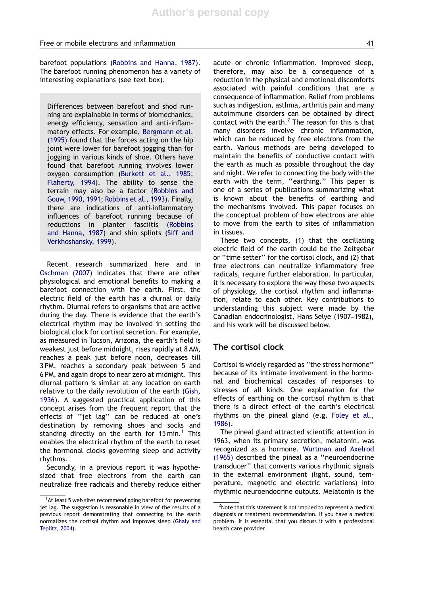#### Free or mobile electrons and inflammation 41 and  $\frac{41}{4}$

barefoot populations (Robbins and Hanna, 1987). The barefoot running phenomenon has a variety of interesting explanations (see text box).

Differences between barefoot and shod running are explainable in terms of biomechanics, energy efficiency, sensation and anti-inflammatory effects. For example, Bergmann et al. (1995) found that the forces acting on the hip joint were lower for barefoot jogging than for jogging in various kinds of shoe. Others have found that barefoot running involves lower oxygen consumption (Burkett et al., 1985; Flaherty, 1994). The ability to sense the terrain may also be a factor (Robbins and Gouw, 1990, 1991; Robbins et al., 1993). Finally, there are indications of anti-inflammatory influences of barefoot running because of reductions in planter fasciitis (Robbins and Hanna, 1987) and shin splints (Siff and Verkhoshansky, 1999).

Recent research summarized here and in Oschman (2007) indicates that there are other physiological and emotional benefits to making a barefoot connection with the earth. First, the electric field of the earth has a diurnal or daily rhythm. Diurnal refers to organisms that are active during the day. There is evidence that the earth's electrical rhythm may be involved in setting the biological clock for cortisol secretion. For example, as measured in Tucson, Arizona, the earth's field is weakest just before midnight, rises rapidly at 8 AM, reaches a peak just before noon, decreases till 3 PM, reaches a secondary peak between 5 and 6 PM, and again drops to near zero at midnight. This diurnal pattern is similar at any location on earth relative to the daily revolution of the earth (Gish, 1936). A suggested practical application of this concept arises from the frequent report that the effects of ''jet lag'' can be reduced at one's destination by removing shoes and socks and standing directly on the earth for 15 min.<sup>1</sup> This enables the electrical rhythm of the earth to reset the hormonal clocks governing sleep and activity rhythms.

Secondly, in a previous report it was hypothesized that free electrons from the earth can neutralize free radicals and thereby reduce either acute or chronic inflammation. Improved sleep, therefore, may also be a consequence of a reduction in the physical and emotional discomforts associated with painful conditions that are a consequence of inflammation. Relief from problems such as indigestion, asthma, arthritis pain and many autoimmune disorders can be obtained by direct contact with the earth. $^2$  The reason for this is that many disorders involve chronic inflammation, which can be reduced by free electrons from the earth. Various methods are being developed to maintain the benefits of conductive contact with the earth as much as possible throughout the day and night. We refer to connecting the body with the earth with the term, ''earthing.'' This paper is one of a series of publications summarizing what is known about the benefits of earthing and the mechanisms involved. This paper focuses on the conceptual problem of how electrons are able to move from the earth to sites of inflammation in tissues.

These two concepts, (1) that the oscillating electric field of the earth could be the Zeitgebar or ''time setter'' for the cortisol clock, and (2) that free electrons can neutralize inflammatory free radicals, require further elaboration. In particular, it is necessary to explore the way these two aspects of physiology, the cortisol rhythm and inflammation, relate to each other. Key contributions to understanding this subject were made by the Canadian endocrinologist, Hans Selye (1907–1982), and his work will be discussed below.

## The cortisol clock

Cortisol is widely regarded as ''the stress hormone'' because of its intimate involvement in the hormonal and biochemical cascades of responses to stresses of all kinds. One explanation for the effects of earthing on the cortisol rhythm is that there is a direct effect of the earth's electrical rhythms on the pineal gland (e.g. Foley et al., 1986).

The pineal gland attracted scientific attention in 1963, when its primary secretion, melatonin, was recognized as a hormone. Wurtman and Axelrod (1965) described the pineal as a ''neuroendocrine transducer'' that converts various rhythmic signals in the external environment (light, sound, temperature, magnetic and electric variations) into rhythmic neuroendocrine outputs. Melatonin is the

<sup>&</sup>lt;sup>1</sup>At least 5 web sites recommend going barefoot for preventing jet lag. The suggestion is reasonable in view of the results of a previous report demonstrating that connecting to the earth normalizes the cortisol rhythm and improves sleep (Ghaly and Teplitz, 2004).

 $2$ Note that this statement is not implied to represent a medical diagnosis or treatment recommendation. If you have a medical problem, it is essential that you discuss it with a professional health care provider.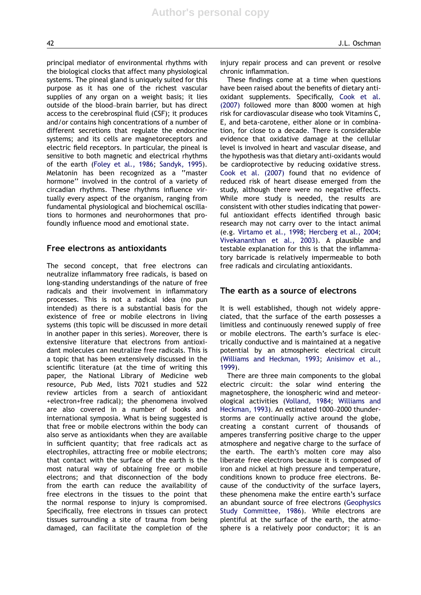principal mediator of environmental rhythms with the biological clocks that affect many physiological systems. The pineal gland is uniquely suited for this purpose as it has one of the richest vascular supplies of any organ on a weight basis; it lies outside of the blood–brain barrier, but has direct access to the cerebrospinal fluid (CSF); it produces and/or contains high concentrations of a number of different secretions that regulate the endocrine systems; and its cells are magnetoreceptors and electric field receptors. In particular, the pineal is sensitive to both magnetic and electrical rhythms of the earth (Foley et al., 1986; Sandyk, 1995). Melatonin has been recognized as a ''master hormone'' involved in the control of a variety of circadian rhythms. These rhythms influence virtually every aspect of the organism, ranging from fundamental physiological and biochemical oscillations to hormones and neurohormones that profoundly influence mood and emotional state.

## Free electrons as antioxidants

The second concept, that free electrons can neutralize inflammatory free radicals, is based on long-standing understandings of the nature of free radicals and their involvement in inflammatory processes. This is not a radical idea (no pun intended) as there is a substantial basis for the existence of free or mobile electrons in living systems (this topic will be discussed in more detail in another paper in this series). Moreover, there is extensive literature that electrons from antioxidant molecules can neutralize free radicals. This is a topic that has been extensively discussed in the scientific literature (at the time of writing this paper, the National Library of Medicine web resource, Pub Med, lists 7021 studies and 522 review articles from a search of antioxidant +electron+free radical); the phenomena involved are also covered in a number of books and international symposia. What is being suggested is that free or mobile electrons within the body can also serve as antioxidants when they are available in sufficient quantity; that free radicals act as electrophiles, attracting free or mobile electrons; that contact with the surface of the earth is the most natural way of obtaining free or mobile electrons; and that disconnection of the body from the earth can reduce the availability of free electrons in the tissues to the point that the normal response to injury is compromised. Specifically, free electrons in tissues can protect tissues surrounding a site of trauma from being damaged, can facilitate the completion of the injury repair process and can prevent or resolve chronic inflammation.

These findings come at a time when questions have been raised about the benefits of dietary antioxidant supplements. Specifically, Cook et al. (2007) followed more than 8000 women at high risk for cardiovascular disease who took Vitamins C, E, and beta-carotene, either alone or in combination, for close to a decade. There is considerable evidence that oxidative damage at the cellular level is involved in heart and vascular disease, and the hypothesis was that dietary anti-oxidants would be cardioprotective by reducing oxidative stress. Cook et al. (2007) found that no evidence of reduced risk of heart disease emerged from the study, although there were no negative effects. While more study is needed, the results are consistent with other studies indicating that powerful antioxidant effects identified through basic research may not carry over to the intact animal (e.g. Virtamo et al., 1998; Hercberg et al., 2004; Vivekananthan et al., 2003). A plausible and testable explanation for this is that the inflammatory barricade is relatively impermeable to both free radicals and circulating antioxidants.

# The earth as a source of electrons

It is well established, though not widely appreciated, that the surface of the earth possesses a limitless and continuously renewed supply of free or mobile electrons. The earth's surface is electrically conductive and is maintained at a negative potential by an atmospheric electrical circuit (Williams and Heckman, 1993; Anisimov et al., 1999).

There are three main components to the global electric circuit: the solar wind entering the magnetosphere, the ionospheric wind and meteorological activities (Volland, 1984; Williams and Heckman, 1993). An estimated 1000–2000 thunderstorms are continually active around the globe, creating a constant current of thousands of amperes transferring positive charge to the upper atmosphere and negative charge to the surface of the earth. The earth's molten core may also liberate free electrons because it is composed of iron and nickel at high pressure and temperature, conditions known to produce free electrons. Because of the conductivity of the surface layers, these phenomena make the entire earth's surface an abundant source of free electrons (Geophysics Study Committee, 1986). While electrons are plentiful at the surface of the earth, the atmosphere is a relatively poor conductor; it is an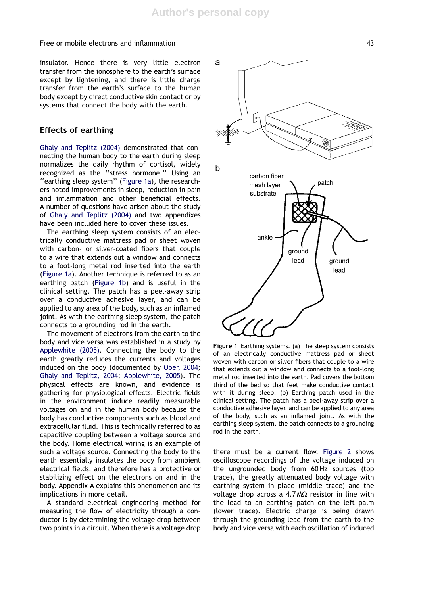$\overline{a}$ 

#### Free or mobile electrons and inflammation 43

insulator. Hence there is very little electron transfer from the ionosphere to the earth's surface except by lightening, and there is little charge transfer from the earth's surface to the human body except by direct conductive skin contact or by systems that connect the body with the earth.

## Effects of earthing

Ghaly and Teplitz (2004) demonstrated that connecting the human body to the earth during sleep normalizes the daily rhythm of cortisol, widely recognized as the ''stress hormone.'' Using an ''earthing sleep system'' (Figure 1a), the researchers noted improvements in sleep, reduction in pain and inflammation and other beneficial effects. A number of questions have arisen about the study of Ghaly and Teplitz (2004) and two appendixes have been included here to cover these issues.

The earthing sleep system consists of an electrically conductive mattress pad or sheet woven with carbon- or silver-coated fibers that couple to a wire that extends out a window and connects to a foot-long metal rod inserted into the earth (Figure 1a). Another technique is referred to as an earthing patch (Figure 1b) and is useful in the clinical setting. The patch has a peel-away strip over a conductive adhesive layer, and can be applied to any area of the body, such as an inflamed joint. As with the earthing sleep system, the patch connects to a grounding rod in the earth.

The movement of electrons from the earth to the body and vice versa was established in a study by Applewhite (2005). Connecting the body to the earth greatly reduces the currents and voltages induced on the body (documented by Ober, 2004; Ghaly and Teplitz, 2004; Applewhite, 2005). The physical effects are known, and evidence is gathering for physiological effects. Electric fields in the environment induce readily measurable voltages on and in the human body because the body has conductive components such as blood and extracellular fluid. This is technically referred to as capacitive coupling between a voltage source and the body. Home electrical wiring is an example of such a voltage source. Connecting the body to the earth essentially insulates the body from ambient electrical fields, and therefore has a protective or stabilizing effect on the electrons on and in the body. Appendix A explains this phenomenon and its implications in more detail.

A standard electrical engineering method for measuring the flow of electricity through a conductor is by determining the voltage drop between two points in a circuit. When there is a voltage drop



with it during sleep. (b) Earthing patch used in the clinical setting. The patch has a peel-away strip over a conductive adhesive layer, and can be applied to any area of the body, such as an inflamed joint. As with the earthing sleep system, the patch connects to a grounding rod in the earth.

there must be a current flow. Figure 2 shows oscilloscope recordings of the voltage induced on the ungrounded body from 60 Hz sources (top trace), the greatly attenuated body voltage with earthing system in place (middle trace) and the voltage drop across a 4.7 M $\Omega$  resistor in line with the lead to an earthing patch on the left palm (lower trace). Electric charge is being drawn through the grounding lead from the earth to the body and vice versa with each oscillation of induced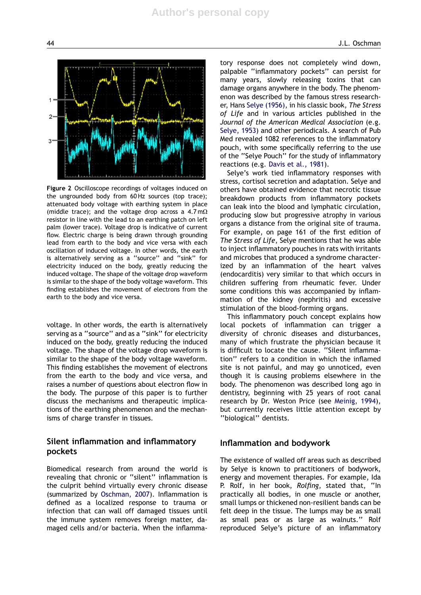

Figure 2 Oscilloscope recordings of voltages induced on the ungrounded body from 60 Hz sources (top trace); attenuated body voltage with earthing system in place (middle trace); and the voltage drop across a 4.7 m $\Omega$ resistor in line with the lead to an earthing patch on left palm (lower trace). Voltage drop is indicative of current flow. Electric charge is being drawn through grounding lead from earth to the body and vice versa with each oscillation of induced voltage. In other words, the earth is alternatively serving as a ''source'' and ''sink'' for electricity induced on the body, greatly reducing the induced voltage. The shape of the voltage drop waveform is similar to the shape of the body voltage waveform. This finding establishes the movement of electrons from the earth to the body and vice versa.

voltage. In other words, the earth is alternatively serving as a ''source'' and as a ''sink'' for electricity induced on the body, greatly reducing the induced voltage. The shape of the voltage drop waveform is similar to the shape of the body voltage waveform. This finding establishes the movement of electrons from the earth to the body and vice versa, and raises a number of questions about electron flow in the body. The purpose of this paper is to further discuss the mechanisms and therapeutic implications of the earthing phenomenon and the mechanisms of charge transfer in tissues.

# Silent inflammation and inflammatory pockets

Biomedical research from around the world is revealing that chronic or ''silent'' inflammation is the culprit behind virtually every chronic disease (summarized by Oschman, 2007). Inflammation is defined as a localized response to trauma or infection that can wall off damaged tissues until the immune system removes foreign matter, damaged cells and/or bacteria. When the inflammatory response does not completely wind down, palpable ''inflammatory pockets'' can persist for many years, slowly releasing toxins that can damage organs anywhere in the body. The phenomenon was described by the famous stress researcher, Hans Selye (1956), in his classic book, The Stress of Life and in various articles published in the Journal of the American Medical Association (e.g. Selye, 1953) and other periodicals. A search of Pub Med revealed 1082 references to the inflammatory pouch, with some specifically referring to the use of the ''Selye Pouch'' for the study of inflammatory reactions (e.g. Davis et al., 1981).

Selye's work tied inflammatory responses with stress, cortisol secretion and adaptation. Selye and others have obtained evidence that necrotic tissue breakdown products from inflammatory pockets can leak into the blood and lymphatic circulation, producing slow but progressive atrophy in various organs a distance from the original site of trauma. For example, on page 161 of the first edition of The Stress of Life, Selye mentions that he was able to inject inflammatory pouches in rats with irritants and microbes that produced a syndrome characterized by an inflammation of the heart valves (endocarditis) very similar to that which occurs in children suffering from rheumatic fever. Under some conditions this was accompanied by inflammation of the kidney (nephritis) and excessive stimulation of the blood-forming organs.

This inflammatory pouch concept explains how local pockets of inflammation can trigger a diversity of chronic diseases and disturbances, many of which frustrate the physician because it is difficult to locate the cause. ''Silent inflammation'' refers to a condition in which the inflamed site is not painful, and may go unnoticed, even though it is causing problems elsewhere in the body. The phenomenon was described long ago in dentistry, beginning with 25 years of root canal research by Dr. Weston Price (see Meinig, 1994), but currently receives little attention except by ''biological'' dentists.

## Inflammation and bodywork

The existence of walled off areas such as described by Selye is known to practitioners of bodywork, energy and movement therapies. For example, Ida P. Rolf, in her book, Rolfing, stated that, ''In practically all bodies, in one muscle or another, small lumps or thickened non-resilient bands can be felt deep in the tissue. The lumps may be as small as small peas or as large as walnuts.'' Rolf reproduced Selye's picture of an inflammatory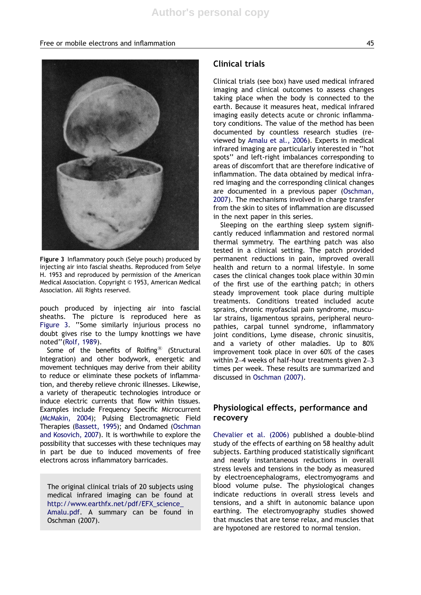

Figure 3 Inflammatory pouch (Selye pouch) produced by injecting air into fascial sheaths. Reproduced from Selye H. 1953 and reproduced by permission of the American Medical Association. Copyright © 1953, American Medical Association. All Rights reserved.

pouch produced by injecting air into fascial sheaths. The picture is reproduced here as Figure 3. ''Some similarly injurious process no doubt gives rise to the lumpy knottings we have noted''(Rolf, 1989).

Some of the benefits of Rolfing $^{\text{\textregistered}}$  (Structural Integration) and other bodywork, energetic and movement techniques may derive from their ability to reduce or eliminate these pockets of inflammation, and thereby relieve chronic illnesses. Likewise, a variety of therapeutic technologies introduce or induce electric currents that flow within tissues. Examples include Frequency Specific Microcurrent (McMakin, 2004); Pulsing Electromagnetic Field Therapies (Bassett, 1995); and Ondamed (Oschman and Kosovich, 2007). It is worthwhile to explore the possibility that successes with these techniques may in part be due to induced movements of free electrons across inflammatory barricades.

The original clinical trials of 20 subjects using medical infrared imaging can be found at http://www.earthfx.net/pdf/EFX\_science\_ Amalu.pdf. A summary can be found in Oschman (2007).

# Clinical trials

Clinical trials (see box) have used medical infrared imaging and clinical outcomes to assess changes taking place when the body is connected to the earth. Because it measures heat, medical infrared imaging easily detects acute or chronic inflammatory conditions. The value of the method has been documented by countless research studies (reviewed by Amalu et al., 2006). Experts in medical infrared imaging are particularly interested in ''hot spots'' and left-right imbalances corresponding to areas of discomfort that are therefore indicative of inflammation. The data obtained by medical infrared imaging and the corresponding clinical changes are documented in a previous paper (Oschman, 2007). The mechanisms involved in charge transfer from the skin to sites of inflammation are discussed in the next paper in this series.

Sleeping on the earthing sleep system significantly reduced inflammation and restored normal thermal symmetry. The earthing patch was also tested in a clinical setting. The patch provided permanent reductions in pain, improved overall health and return to a normal lifestyle. In some cases the clinical changes took place within 30 min of the first use of the earthing patch; in others steady improvement took place during multiple treatments. Conditions treated included acute sprains, chronic myofascial pain syndrome, muscular strains, ligamentous sprains, peripheral neuropathies, carpal tunnel syndrome, inflammatory joint conditions, Lyme disease, chronic sinusitis, and a variety of other maladies. Up to 80% improvement took place in over 60% of the cases within 2–4 weeks of half-hour treatments given 2–3 times per week. These results are summarized and discussed in Oschman (2007).

# Physiological effects, performance and recovery

Chevalier et al. (2006) published a double-blind study of the effects of earthing on 58 healthy adult subjects. Earthing produced statistically significant and nearly instantaneous reductions in overall stress levels and tensions in the body as measured by electroencephalograms, electromyograms and blood volume pulse. The physiological changes indicate reductions in overall stress levels and tensions, and a shift in autonomic balance upon earthing. The electromyography studies showed that muscles that are tense relax, and muscles that are hypotoned are restored to normal tension.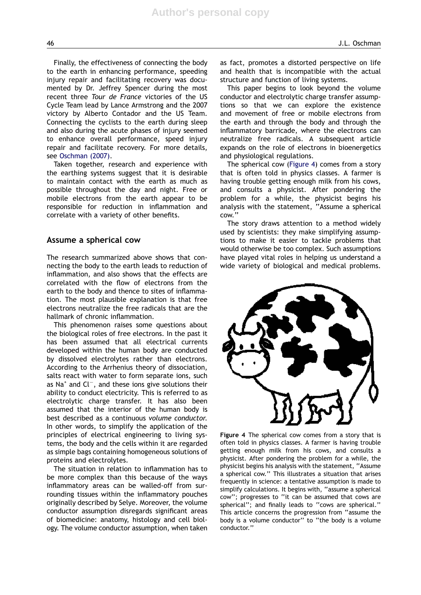Finally, the effectiveness of connecting the body to the earth in enhancing performance, speeding injury repair and facilitating recovery was documented by Dr. Jeffrey Spencer during the most recent three Tour de France victories of the US Cycle Team lead by Lance Armstrong and the 2007 victory by Alberto Contador and the US Team. Connecting the cyclists to the earth during sleep and also during the acute phases of injury seemed to enhance overall performance, speed injury repair and facilitate recovery. For more details, see Oschman (2007).

Taken together, research and experience with the earthing systems suggest that it is desirable to maintain contact with the earth as much as possible throughout the day and night. Free or mobile electrons from the earth appear to be responsible for reduction in inflammation and correlate with a variety of other benefits.

#### Assume a spherical cow

The research summarized above shows that connecting the body to the earth leads to reduction of inflammation, and also shows that the effects are correlated with the flow of electrons from the earth to the body and thence to sites of inflammation. The most plausible explanation is that free electrons neutralize the free radicals that are the hallmark of chronic inflammation.

This phenomenon raises some questions about the biological roles of free electrons. In the past it has been assumed that all electrical currents developed within the human body are conducted by dissolved electrolytes rather than electrons. According to the Arrhenius theory of dissociation, salts react with water to form separate ions, such as Na<sup>+</sup> and  $Cl^-$ , and these ions give solutions their ability to conduct electricity. This is referred to as electrolytic charge transfer. It has also been assumed that the interior of the human body is best described as a continuous volume conductor. In other words, to simplify the application of the principles of electrical engineering to living systems, the body and the cells within it are regarded as simple bags containing homogeneous solutions of proteins and electrolytes.

The situation in relation to inflammation has to be more complex than this because of the ways inflammatory areas can be walled-off from surrounding tissues within the inflammatory pouches originally described by Selye. Moreover, the volume conductor assumption disregards significant areas of biomedicine: anatomy, histology and cell biology. The volume conductor assumption, when taken as fact, promotes a distorted perspective on life and health that is incompatible with the actual structure and function of living systems.

This paper begins to look beyond the volume conductor and electrolytic charge transfer assumptions so that we can explore the existence and movement of free or mobile electrons from the earth and through the body and through the inflammatory barricade, where the electrons can neutralize free radicals. A subsequent article expands on the role of electrons in bioenergetics and physiological regulations.

The spherical cow (Figure 4) comes from a story that is often told in physics classes. A farmer is having trouble getting enough milk from his cows, and consults a physicist. After pondering the problem for a while, the physicist begins his analysis with the statement, ''Assume a spherical cow.''

The story draws attention to a method widely used by scientists: they make simplifying assumptions to make it easier to tackle problems that would otherwise be too complex. Such assumptions have played vital roles in helping us understand a wide variety of biological and medical problems.



Figure 4 The spherical cow comes from a story that is often told in physics classes. A farmer is having trouble getting enough milk from his cows, and consults a physicist. After pondering the problem for a while, the physicist begins his analysis with the statement, ''Assume a spherical cow.'' This illustrates a situation that arises frequently in science: a tentative assumption is made to simplify calculations. It begins with, ''assume a spherical cow''; progresses to ''it can be assumed that cows are spherical''; and finally leads to ''cows are spherical.'' This article concerns the progression from ''assume the body is a volume conductor'' to ''the body is a volume conductor.''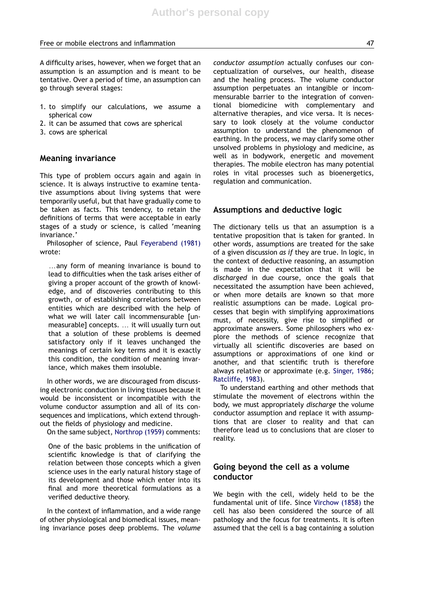A difficulty arises, however, when we forget that an assumption is an assumption and is meant to be tentative. Over a period of time, an assumption can go through several stages:

- 1. to simplify our calculations, we assume a spherical cow
- 2. it can be assumed that cows are spherical
- 3. cows are spherical

## Meaning invariance

This type of problem occurs again and again in science. It is always instructive to examine tentative assumptions about living systems that were temporarily useful, but that have gradually come to be taken as facts. This tendency, to retain the definitions of terms that were acceptable in early stages of a study or science, is called 'meaning invariance.'

Philosopher of science, Paul Feyerabend (1981) wrote:

...any form of meaning invariance is bound to lead to difficulties when the task arises either of giving a proper account of the growth of knowledge, and of discoveries contributing to this growth, or of establishing correlations between entities which are described with the help of what we will later call incommensurable [unmeasurable] concepts. ... it will usually turn out that a solution of these problems is deemed satisfactory only if it leaves unchanged the meanings of certain key terms and it is exactly this condition, the condition of meaning invariance, which makes them insoluble.

In other words, we are discouraged from discussing electronic conduction in living tissues because it would be inconsistent or incompatible with the volume conductor assumption and all of its consequences and implications, which extend throughout the fields of physiology and medicine.

On the same subject, Northrop (1959) comments:

One of the basic problems in the unification of scientific knowledge is that of clarifying the relation between those concepts which a given science uses in the early natural history stage of its development and those which enter into its final and more theoretical formulations as a verified deductive theory.

In the context of inflammation, and a wide range of other physiological and biomedical issues, meaning invariance poses deep problems. The volume conductor assumption actually confuses our conceptualization of ourselves, our health, disease and the healing process. The volume conductor assumption perpetuates an intangible or incommensurable barrier to the integration of conventional biomedicine with complementary and alternative therapies, and vice versa. It is necessary to look closely at the volume conductor assumption to understand the phenomenon of earthing. In the process, we may clarify some other unsolved problems in physiology and medicine, as well as in bodywork, energetic and movement therapies. The mobile electron has many potential roles in vital processes such as bioenergetics, regulation and communication.

## Assumptions and deductive logic

The dictionary tells us that an assumption is a tentative proposition that is taken for granted. In other words, assumptions are treated for the sake of a given discussion as if they are true. In logic, in the context of deductive reasoning, an assumption is made in the expectation that it will be discharged in due course, once the goals that necessitated the assumption have been achieved, or when more details are known so that more realistic assumptions can be made. Logical processes that begin with simplifying approximations must, of necessity, give rise to simplified or approximate answers. Some philosophers who explore the methods of science recognize that virtually all scientific discoveries are based on assumptions or approximations of one kind or another, and that scientific truth is therefore always relative or approximate (e.g. Singer, 1986; Ratcliffe, 1983).

To understand earthing and other methods that stimulate the movement of electrons within the body, we must appropriately discharge the volume conductor assumption and replace it with assumptions that are closer to reality and that can therefore lead us to conclusions that are closer to reality.

# Going beyond the cell as a volume conductor

We begin with the cell, widely held to be the fundamental unit of life. Since Virchow (1858) the cell has also been considered the source of all pathology and the focus for treatments. It is often assumed that the cell is a bag containing a solution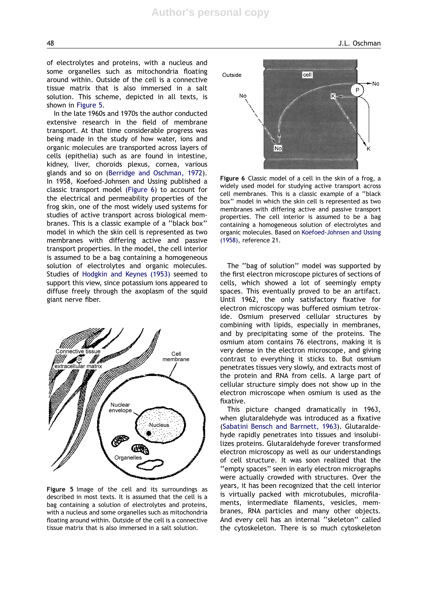of electrolytes and proteins, with a nucleus and some organelles such as mitochondria floating around within. Outside of the cell is a connective tissue matrix that is also immersed in a salt solution. This scheme, depicted in all texts, is shown in Figure 5.

In the late 1960s and 1970s the author conducted extensive research in the field of membrane transport. At that time considerable progress was being made in the study of how water, ions and organic molecules are transported across layers of cells (epithelia) such as are found in intestine, kidney, liver, choroids plexus, cornea, various glands and so on (Berridge and Oschman, 1972). In 1958, Koefoed-Johnsen and Ussing published a classic transport model (Figure 6) to account for the electrical and permeability properties of the frog skin, one of the most widely used systems for studies of active transport across biological membranes. This is a classic example of a ''black box'' model in which the skin cell is represented as two membranes with differing active and passive transport properties. In the model, the cell interior is assumed to be a bag containing a homogeneous solution of electrolytes and organic molecules. Studies of Hodgkin and Keynes (1953) seemed to support this view, since potassium ions appeared to diffuse freely through the axoplasm of the squid giant nerve fiber.



Figure 5 Image of the cell and its surroundings as described in most texts. It is assumed that the cell is a bag containing a solution of electrolytes and proteins, with a nucleus and some organelles such as mitochondria floating around within. Outside of the cell is a connective tissue matrix that is also immersed in a salt solution.



Figure 6 Classic model of a cell in the skin of a frog, a widely used model for studying active transport across cell membranes. This is a classic example of a ''black box'' model in which the skin cell is represented as two membranes with differing active and passive transport properties. The cell interior is assumed to be a bag containing a homogeneous solution of electrolytes and organic molecules. Based on Koefoed-Johnsen and Ussing (1958), reference 21.

The ''bag of solution'' model was supported by the first electron microscope pictures of sections of cells, which showed a lot of seemingly empty spaces. This eventually proved to be an artifact. Until 1962, the only satisfactory fixative for electron microscopy was buffered osmium tetroxide. Osmium preserved cellular structures by combining with lipids, especially in membranes, and by precipitating some of the proteins. The osmium atom contains 76 electrons, making it is very dense in the electron microscope, and giving contrast to everything it sticks to. But osmium penetrates tissues very slowly, and extracts most of the protein and RNA from cells. A large part of cellular structure simply does not show up in the electron microscope when osmium is used as the fixative.

This picture changed dramatically in 1963, when glutaraldehyde was introduced as a fixative (Sabatini Bensch and Barrnett, 1963). Glutaraldehyde rapidly penetrates into tissues and insolubilizes proteins. Glutaraldehyde forever transformed electron microscopy as well as our understandings of cell structure. It was soon realized that the ''empty spaces'' seen in early electron micrographs were actually crowded with structures. Over the years, it has been recognized that the cell interior is virtually packed with microtubules, microfilaments, intermediate filaments, vesicles, membranes, RNA particles and many other objects. And every cell has an internal ''skeleton'' called the cytoskeleton. There is so much cytoskeleton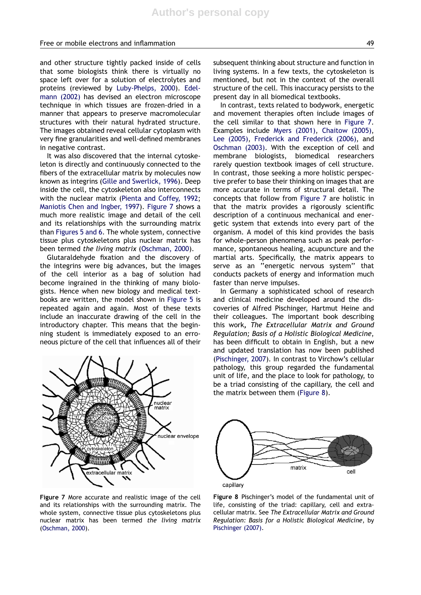and other structure tightly packed inside of cells that some biologists think there is virtually no space left over for a solution of electrolytes and proteins (reviewed by Luby-Phelps, 2000). Edelmann (2002) has devised an electron microscope technique in which tissues are frozen-dried in a manner that appears to preserve macromolecular structures with their natural hydrated structure. The images obtained reveal cellular cytoplasm with very fine granularities and well-defined membranes in negative contrast.

It was also discovered that the internal cytoskeleton is directly and continuously connected to the fibers of the extracellular matrix by molecules now known as integrins (Gille and Swerlick, 1996). Deep inside the cell, the cytoskeleton also interconnects with the nuclear matrix (Pienta and Coffey, 1992; Maniotis Chen and Ingber, 1997). Figure 7 shows a much more realistic image and detail of the cell and its relationships with the surrounding matrix than Figures 5 and 6. The whole system, connective tissue plus cytoskeletons plus nuclear matrix has been termed the living matrix (Oschman, 2000).

Glutaraldehyde fixation and the discovery of the integrins were big advances, but the images of the cell interior as a bag of solution had become ingrained in the thinking of many biologists. Hence when new biology and medical textbooks are written, the model shown in Figure 5 is repeated again and again. Most of these texts include an inaccurate drawing of the cell in the introductory chapter. This means that the beginning student is immediately exposed to an erroneous picture of the cell that influences all of their



Figure 7 More accurate and realistic image of the cell and its relationships with the surrounding matrix. The whole system, connective tissue plus cytoskeletons plus nuclear matrix has been termed the living matrix (Oschman, 2000).

subsequent thinking about structure and function in living systems. In a few texts, the cytoskeleton is mentioned, but not in the context of the overall structure of the cell. This inaccuracy persists to the present day in all biomedical textbooks.

In contrast, texts related to bodywork, energetic and movement therapies often include images of the cell similar to that shown here in Figure 7. Examples include Myers (2001), Chaitow (2005), Lee (2005), Frederick and Frederick (2006), and Oschman (2003). With the exception of cell and membrane biologists, biomedical researchers rarely question textbook images of cell structure. In contrast, those seeking a more holistic perspective prefer to base their thinking on images that are more accurate in terms of structural detail. The concepts that follow from Figure 7 are holistic in that the matrix provides a rigorously scientific description of a continuous mechanical and energetic system that extends into every part of the organism. A model of this kind provides the basis for whole-person phenomena such as peak performance, spontaneous healing, acupuncture and the martial arts. Specifically, the matrix appears to serve as an ''energetic nervous system'' that conducts packets of energy and information much faster than nerve impulses.

In Germany a sophisticated school of research and clinical medicine developed around the discoveries of Alfred Pischinger, Hartmut Heine and their colleagues. The important book describing this work, The Extracellular Matrix and Ground Regulation; Basis of a Holistic Biological Medicine, has been difficult to obtain in English, but a new and updated translation has now been published (Pischinger, 2007). In contrast to Virchow's cellular pathology, this group regarded the fundamental unit of life, and the place to look for pathology, to be a triad consisting of the capillary, the cell and the matrix between them (Figure 8).



Figure 8 Pischinger's model of the fundamental unit of life, consisting of the triad: capillary, cell and extracellular matrix. See The Extracellular Matrix and Ground Regulation: Basis for a Holistic Biological Medicine, by Pischinger (2007).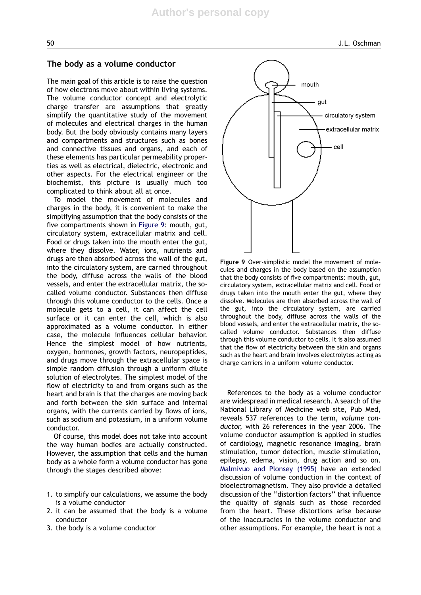**Author's personal copy**

## The body as a volume conductor

The main goal of this article is to raise the question of how electrons move about within living systems. The volume conductor concept and electrolytic charge transfer are assumptions that greatly simplify the quantitative study of the movement of molecules and electrical charges in the human body. But the body obviously contains many layers and compartments and structures such as bones and connective tissues and organs, and each of these elements has particular permeability properties as well as electrical, dielectric, electronic and other aspects. For the electrical engineer or the biochemist, this picture is usually much too complicated to think about all at once.

To model the movement of molecules and charges in the body, it is convenient to make the simplifying assumption that the body consists of the five compartments shown in Figure 9: mouth, gut, circulatory system, extracellular matrix and cell. Food or drugs taken into the mouth enter the gut, where they dissolve. Water, ions, nutrients and drugs are then absorbed across the wall of the gut, into the circulatory system, are carried throughout the body, diffuse across the walls of the blood vessels, and enter the extracellular matrix, the socalled volume conductor. Substances then diffuse through this volume conductor to the cells. Once a molecule gets to a cell, it can affect the cell surface or it can enter the cell, which is also approximated as a volume conductor. In either case, the molecule influences cellular behavior. Hence the simplest model of how nutrients, oxygen, hormones, growth factors, neuropeptides, and drugs move through the extracellular space is simple random diffusion through a uniform dilute solution of electrolytes. The simplest model of the flow of electricity to and from organs such as the heart and brain is that the charges are moving back and forth between the skin surface and internal organs, with the currents carried by flows of ions, such as sodium and potassium, in a uniform volume conductor.

Of course, this model does not take into account the way human bodies are actually constructed. However, the assumption that cells and the human body as a whole form a volume conductor has gone through the stages described above:

- 1. to simplify our calculations, we assume the body is a volume conductor
- 2. it can be assumed that the body is a volume conductor
- 3. the body is a volume conductor



Figure 9 Over-simplistic model the movement of molecules and charges in the body based on the assumption that the body consists of five compartments: mouth, gut, circulatory system, extracellular matrix and cell. Food or drugs taken into the mouth enter the gut, where they dissolve. Molecules are then absorbed across the wall of the gut, into the circulatory system, are carried throughout the body, diffuse across the walls of the blood vessels, and enter the extracellular matrix, the socalled volume conductor. Substances then diffuse through this volume conductor to cells. It is also assumed that the flow of electricity between the skin and organs such as the heart and brain involves electrolytes acting as charge carriers in a uniform volume conductor.

References to the body as a volume conductor are widespread in medical research. A search of the National Library of Medicine web site, Pub Med, reveals 537 references to the term, volume conductor, with 26 references in the year 2006. The volume conductor assumption is applied in studies of cardiology, magnetic resonance imaging, brain stimulation, tumor detection, muscle stimulation, epilepsy, edema, vision, drug action and so on. Malmivuo and Plonsey (1995) have an extended discussion of volume conduction in the context of bioelectromagnetism. They also provide a detailed discussion of the ''distortion factors'' that influence the quality of signals such as those recorded from the heart. These distortions arise because of the inaccuracies in the volume conductor and other assumptions. For example, the heart is not a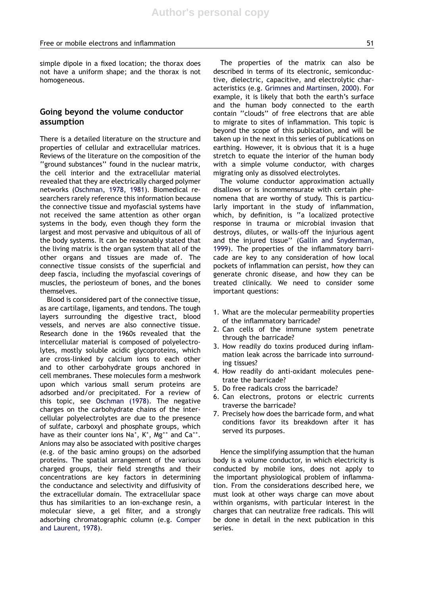simple dipole in a fixed location; the thorax does not have a uniform shape; and the thorax is not homogeneous.

# Going beyond the volume conductor assumption

There is a detailed literature on the structure and properties of cellular and extracellular matrices. Reviews of the literature on the composition of the ''ground substances'' found in the nuclear matrix, the cell interior and the extracellular material revealed that they are electrically charged polymer networks (Oschman, 1978, 1981). Biomedical researchers rarely reference this information because the connective tissue and myofascial systems have not received the same attention as other organ systems in the body, even though they form the largest and most pervasive and ubiquitous of all of the body systems. It can be reasonably stated that the living matrix is the organ system that all of the other organs and tissues are made of. The connective tissue consists of the superficial and deep fascia, including the myofascial coverings of muscles, the periosteum of bones, and the bones themselves.

Blood is considered part of the connective tissue, as are cartilage, ligaments, and tendons. The tough layers surrounding the digestive tract, blood vessels, and nerves are also connective tissue. Research done in the 1960s revealed that the intercellular material is composed of polyelectrolytes, mostly soluble acidic glycoproteins, which are cross-linked by calcium ions to each other and to other carbohydrate groups anchored in cell membranes. These molecules form a meshwork upon which various small serum proteins are adsorbed and/or precipitated. For a review of this topic, see Oschman (1978). The negative charges on the carbohydrate chains of the intercellular polyelectrolytes are due to the presence of sulfate, carboxyl and phosphate groups, which have as their counter ions  $Na^{+}$ ,  $K^{+}$ ,  $Mg^{++}$  and  $Ca^{++}$ . Anions may also be associated with positive charges (e.g. of the basic amino groups) on the adsorbed proteins. The spatial arrangement of the various charged groups, their field strengths and their concentrations are key factors in determining the conductance and selectivity and diffusivity of the extracellular domain. The extracellular space thus has similarities to an ion-exchange resin, a molecular sieve, a gel filter, and a strongly adsorbing chromatographic column (e.g. Comper and Laurent, 1978).

The properties of the matrix can also be described in terms of its electronic, semiconductive, dielectric, capacitive, and electrolytic characteristics (e.g. Grimnes and Martinsen, 2000). For example, it is likely that both the earth's surface and the human body connected to the earth contain ''clouds'' of free electrons that are able to migrate to sites of inflammation. This topic is beyond the scope of this publication, and will be taken up in the next in this series of publications on earthing. However, it is obvious that it is a huge stretch to equate the interior of the human body with a simple volume conductor, with charges migrating only as dissolved electrolytes.

The volume conductor approximation actually disallows or is incommensurate with certain phenomena that are worthy of study. This is particularly important in the study of inflammation, which, by definition, is ''a localized protective response in trauma or microbial invasion that destroys, dilutes, or walls-off the injurious agent and the injured tissue'' (Gallin and Snyderman, 1999). The properties of the inflammatory barricade are key to any consideration of how local pockets of inflammation can persist, how they can generate chronic disease, and how they can be treated clinically. We need to consider some important questions:

- 1. What are the molecular permeability properties of the inflammatory barricade?
- 2. Can cells of the immune system penetrate through the barricade?
- 3. How readily do toxins produced during inflammation leak across the barricade into surrounding tissues?
- 4. How readily do anti-oxidant molecules penetrate the barricade?
- 5. Do free radicals cross the barricade?
- 6. Can electrons, protons or electric currents traverse the barricade?
- 7. Precisely how does the barricade form, and what conditions favor its breakdown after it has served its purposes.

Hence the simplifying assumption that the human body is a volume conductor, in which electricity is conducted by mobile ions, does not apply to the important physiological problem of inflammation. From the considerations described here, we must look at other ways charge can move about within organisms, with particular interest in the charges that can neutralize free radicals. This will be done in detail in the next publication in this series.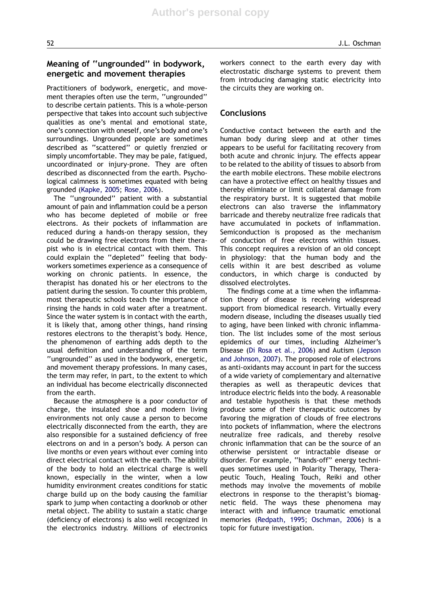# Meaning of ''ungrounded'' in bodywork, energetic and movement therapies

Practitioners of bodywork, energetic, and movement therapies often use the term, ''ungrounded'' to describe certain patients. This is a whole-person perspective that takes into account such subjective qualities as one's mental and emotional state, one's connection with oneself, one's body and one's surroundings. Ungrounded people are sometimes described as ''scattered'' or quietly frenzied or simply uncomfortable. They may be pale, fatigued, uncoordinated or injury-prone. They are often described as disconnected from the earth. Psychological calmness is sometimes equated with being grounded (Kapke, 2005; Rose, 2006).

The ''ungrounded'' patient with a substantial amount of pain and inflammation could be a person who has become depleted of mobile or free electrons. As their pockets of inflammation are reduced during a hands-on therapy session, they could be drawing free electrons from their therapist who is in electrical contact with them. This could explain the ''depleted'' feeling that bodyworkers sometimes experience as a consequence of working on chronic patients. In essence, the therapist has donated his or her electrons to the patient during the session. To counter this problem, most therapeutic schools teach the importance of rinsing the hands in cold water after a treatment. Since the water system is in contact with the earth, it is likely that, among other things, hand rinsing restores electrons to the therapist's body. Hence, the phenomenon of earthing adds depth to the usual definition and understanding of the term ''ungrounded'' as used in the bodywork, energetic, and movement therapy professions. In many cases, the term may refer, in part, to the extent to which an individual has become electrically disconnected from the earth.

Because the atmosphere is a poor conductor of charge, the insulated shoe and modern living environments not only cause a person to become electrically disconnected from the earth, they are also responsible for a sustained deficiency of free electrons on and in a person's body. A person can live months or even years without ever coming into direct electrical contact with the earth. The ability of the body to hold an electrical charge is well known, especially in the winter, when a low humidity environment creates conditions for static charge build up on the body causing the familiar spark to jump when contacting a doorknob or other metal object. The ability to sustain a static charge (deficiency of electrons) is also well recognized in the electronics industry. Millions of electronics

workers connect to the earth every day with electrostatic discharge systems to prevent them from introducing damaging static electricity into the circuits they are working on.

# **Conclusions**

Conductive contact between the earth and the human body during sleep and at other times appears to be useful for facilitating recovery from both acute and chronic injury. The effects appear to be related to the ability of tissues to absorb from the earth mobile electrons. These mobile electrons can have a protective effect on healthy tissues and thereby eliminate or limit collateral damage from the respiratory burst. It is suggested that mobile electrons can also traverse the inflammatory barricade and thereby neutralize free radicals that have accumulated in pockets of inflammation. Semiconduction is proposed as the mechanism of conduction of free electrons within tissues. This concept requires a revision of an old concept in physiology: that the human body and the cells within it are best described as volume conductors, in which charge is conducted by dissolved electrolytes.

The findings come at a time when the inflammation theory of disease is receiving widespread support from biomedical research. Virtually every modern disease, including the diseases usually tied to aging, have been linked with chronic inflammation. The list includes some of the most serious epidemics of our times, including Alzheimer's Disease (Di Rosa et al., 2006) and Autism (Jepson and Johnson, 2007). The proposed role of electrons as anti-oxidants may account in part for the success of a wide variety of complementary and alternative therapies as well as therapeutic devices that introduce electric fields into the body. A reasonable and testable hypothesis is that these methods produce some of their therapeutic outcomes by favoring the migration of clouds of free electrons into pockets of inflammation, where the electrons neutralize free radicals, and thereby resolve chronic inflammation that can be the source of an otherwise persistent or intractable disease or disorder. For example, ''hands-off'' energy techniques sometimes used in Polarity Therapy, Therapeutic Touch, Healing Touch, Reiki and other methods may involve the movements of mobile electrons in response to the therapist's biomagnetic field. The ways these phenomena may interact with and influence traumatic emotional memories (Redpath, 1995; Oschman, 2006) is a topic for future investigation.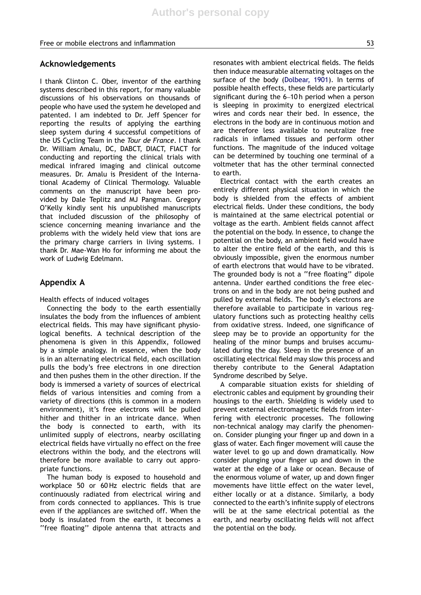## Acknowledgements

I thank Clinton C. Ober, inventor of the earthing systems described in this report, for many valuable discussions of his observations on thousands of people who have used the system he developed and patented. I am indebted to Dr. Jeff Spencer for reporting the results of applying the earthing sleep system during 4 successful competitions of the US Cycling Team in the Tour de France. I thank Dr. William Amalu, DC, DABCT, DIACT, FIACT for conducting and reporting the clinical trials with medical infrared imaging and clinical outcome measures. Dr. Amalu is President of the International Academy of Clinical Thermology. Valuable comments on the manuscript have been provided by Dale Teplitz and MJ Pangman. Gregory O'Kelly kindly sent his unpublished manuscripts that included discussion of the philosophy of science concerning meaning invariance and the problems with the widely held view that ions are the primary charge carriers in living systems. I thank Dr. Mae-Wan Ho for informing me about the work of Ludwig Edelmann.

## Appendix A

Health effects of induced voltages

Connecting the body to the earth essentially insulates the body from the influences of ambient electrical fields. This may have significant physiological benefits. A technical description of the phenomena is given in this Appendix, followed by a simple analogy. In essence, when the body is in an alternating electrical field, each oscillation pulls the body's free electrons in one direction and then pushes them in the other direction. If the body is immersed a variety of sources of electrical fields of various intensities and coming from a variety of directions (this is common in a modern environment), it's free electrons will be pulled hither and thither in an intricate dance. When the body is connected to earth, with its unlimited supply of electrons, nearby oscillating electrical fields have virtually no effect on the free electrons within the body, and the electrons will therefore be more available to carry out appropriate functions.

The human body is exposed to household and workplace 50 or 60 Hz electric fields that are continuously radiated from electrical wiring and from cords connected to appliances. This is true even if the appliances are switched off. When the body is insulated from the earth, it becomes a ''free floating'' dipole antenna that attracts and resonates with ambient electrical fields. The fields then induce measurable alternating voltages on the surface of the body (Dolbear, 1901). In terms of possible health effects, these fields are particularly significant during the 6–10 h period when a person is sleeping in proximity to energized electrical wires and cords near their bed. In essence, the electrons in the body are in continuous motion and are therefore less available to neutralize free radicals in inflamed tissues and perform other functions. The magnitude of the induced voltage can be determined by touching one terminal of a voltmeter that has the other terminal connected to earth.

Electrical contact with the earth creates an entirely different physical situation in which the body is shielded from the effects of ambient electrical fields. Under these conditions, the body is maintained at the same electrical potential or voltage as the earth. Ambient fields cannot affect the potential on the body. In essence, to change the potential on the body, an ambient field would have to alter the entire field of the earth, and this is obviously impossible, given the enormous number of earth electrons that would have to be vibrated. The grounded body is not a ''free floating'' dipole antenna. Under earthed conditions the free electrons on and in the body are not being pushed and pulled by external fields. The body's electrons are therefore available to participate in various regulatory functions such as protecting healthy cells from oxidative stress. Indeed, one significance of sleep may be to provide an opportunity for the healing of the minor bumps and bruises accumulated during the day. Sleep in the presence of an oscillating electrical field may slow this process and thereby contribute to the General Adaptation Syndrome described by Selye.

A comparable situation exists for shielding of electronic cables and equipment by grounding their housings to the earth. Shielding is widely used to prevent external electromagnetic fields from interfering with electronic processes. The following non-technical analogy may clarify the phenomenon. Consider plunging your finger up and down in a glass of water. Each finger movement will cause the water level to go up and down dramatically. Now consider plunging your finger up and down in the water at the edge of a lake or ocean. Because of the enormous volume of water, up and down finger movements have little effect on the water level, either locally or at a distance. Similarly, a body connected to the earth's infinite supply of electrons will be at the same electrical potential as the earth, and nearby oscillating fields will not affect the potential on the body.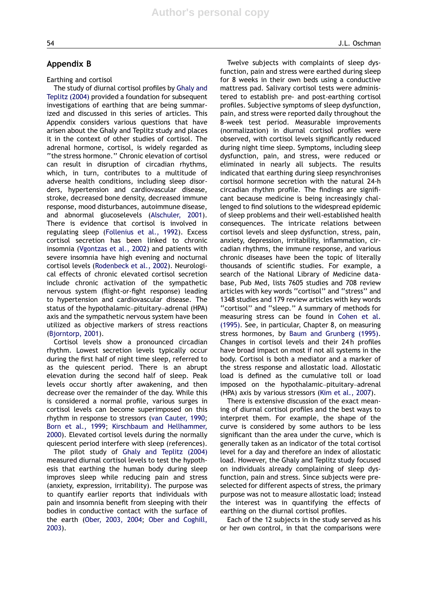## Appendix B

Earthing and cortisol

The study of diurnal cortisol profiles by Ghaly and Teplitz (2004) provided a foundation for subsequent investigations of earthing that are being summarized and discussed in this series of articles. This Appendix considers various questions that have arisen about the Ghaly and Teplitz study and places it in the context of other studies of cortisol. The adrenal hormone, cortisol, is widely regarded as ''the stress hormone.'' Chronic elevation of cortisol can result in disruption of circadian rhythms, which, in turn, contributes to a multitude of adverse health conditions, including sleep disorders, hypertension and cardiovascular disease, stroke, decreased bone density, decreased immune response, mood disturbances, autoimmune disease, and abnormal glucoselevels (Alschuler, 2001). There is evidence that cortisol is involved in regulating sleep (Follenius et al., 1992). Excess cortisol secretion has been linked to chronic insomnia (Vgontzas et al., 2002) and patients with severe insomnia have high evening and nocturnal cortisol levels (Rodenbeck et al., 2002). Neurological effects of chronic elevated cortisol secretion include chronic activation of the sympathetic nervous system (flight-or-fight response) leading to hypertension and cardiovascular disease. The status of the hypothalamic–pituitary–adrenal (HPA) axis and the sympathetic nervous system have been utilized as objective markers of stress reactions (Bjorntorp, 2001).

Cortisol levels show a pronounced circadian rhythm. Lowest secretion levels typically occur during the first half of night time sleep, referred to as the quiescent period. There is an abrupt elevation during the second half of sleep. Peak levels occur shortly after awakening, and then decrease over the remainder of the day. While this is considered a normal profile, various surges in cortisol levels can become superimposed on this rhythm in response to stressors (van Cauter, 1990; Born et al., 1999; Kirschbaum and Hellhammer, 2000). Elevated cortisol levels during the normally quiescent period interfere with sleep (references).

The pilot study of Ghaly and Teplitz (2004) measured diurnal cortisol levels to test the hypothesis that earthing the human body during sleep improves sleep while reducing pain and stress (anxiety, expression, irritability). The purpose was to quantify earlier reports that individuals with pain and insomnia benefit from sleeping with their bodies in conductive contact with the surface of the earth (Ober, 2003, 2004; Ober and Coghill, 2003).

Twelve subjects with complaints of sleep dysfunction, pain and stress were earthed during sleep for 8 weeks in their own beds using a conductive mattress pad. Salivary cortisol tests were administered to establish pre- and post-earthing cortisol profiles. Subjective symptoms of sleep dysfunction, pain, and stress were reported daily throughout the 8-week test period. Measurable improvements (normalization) in diurnal cortisol profiles were observed, with cortisol levels significantly reduced during night time sleep. Symptoms, including sleep dysfunction, pain, and stress, were reduced or eliminated in nearly all subjects. The results indicated that earthing during sleep resynchronises cortisol hormone secretion with the natural 24-h circadian rhythm profile. The findings are significant because medicine is being increasingly challenged to find solutions to the widespread epidemic of sleep problems and their well-established health consequences. The intricate relations between cortisol levels and sleep dysfunction, stress, pain, anxiety, depression, irritability, inflammation, circadian rhythms, the immune response, and various chronic diseases have been the topic of literally thousands of scientific studies. For example, a search of the National Library of Medicine database, Pub Med, lists 7605 studies and 708 review articles with key words ''cortisol'' and ''stress'' and 1348 studies and 179 review articles with key words ''cortisol'' and ''sleep.'' A summary of methods for measuring stress can be found in Cohen et al. (1995). See, in particular, Chapter 8, on measuring stress hormones, by Baum and Grunberg (1995). Changes in cortisol levels and their 24h profiles have broad impact on most if not all systems in the body. Cortisol is both a mediator and a marker of the stress response and allostatic load. Allostatic load is defined as the cumulative toll or load imposed on the hypothalamic–pituitary–adrenal (HPA) axis by various stressors (Kim et al., 2007).

There is extensive discussion of the exact meaning of diurnal cortisol profiles and the best ways to interpret them. For example, the shape of the curve is considered by some authors to be less significant than the area under the curve, which is generally taken as an indicator of the total cortisol level for a day and therefore an index of allostatic load. However, the Ghaly and Teplitz study focused on individuals already complaining of sleep dysfunction, pain and stress. Since subjects were preselected for different aspects of stress, the primary purpose was not to measure allostatic load; instead the interest was in quantifying the effects of earthing on the diurnal cortisol profiles.

Each of the 12 subjects in the study served as his or her own control, in that the comparisons were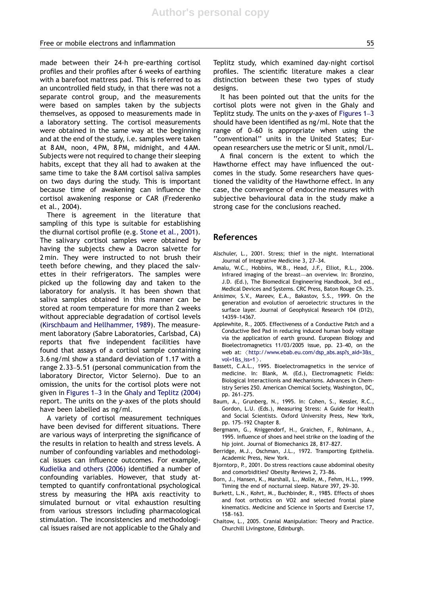made between their 24-h pre-earthing cortisol profiles and their profiles after 6 weeks of earthing with a barefoot mattress pad. This is referred to as an uncontrolled field study, in that there was not a separate control group, and the measurements were based on samples taken by the subjects themselves, as opposed to measurements made in a laboratory setting. The cortisol measurements were obtained in the same way at the beginning and at the end of the study, i.e. samples were taken at 8 AM, noon, 4 PM, 8 PM, midnight, and 4 AM. Subjects were not required to change their sleeping habits, except that they all had to awaken at the same time to take the 8 AM cortisol saliva samples on two days during the study. This is important because time of awakening can influence the cortisol awakening response or CAR (Frederenko et al., 2004).

There is agreement in the literature that sampling of this type is suitable for establishing the diurnal cortisol profile (e.g. Stone et al., 2001). The salivary cortisol samples were obtained by having the subjects chew a Dacron salvette for 2 min. They were instructed to not brush their teeth before chewing, and they placed the salvettes in their refrigerators. The samples were picked up the following day and taken to the laboratory for analysis. It has been shown that saliva samples obtained in this manner can be stored at room temperature for more than 2 weeks without appreciable degradation of cortisol levels (Kirschbaum and Hellhammer, 1989). The measurement laboratory (Sabre Laboratories, Carlsbad, CA) reports that five independent facilities have found that assays of a cortisol sample containing 3.6 ng/ml show a standard deviation of 1.17 with a range 2.33–5.51 (personal communication from the laboratory Director, Victor Selerno). Due to an omission, the units for the cortisol plots were not given in Figures 1–3 in the Ghaly and Teplitz (2004) report. The units on the y-axes of the plots should have been labelled as ng/ml.

A variety of cortisol measurement techniques have been devised for different situations. There are various ways of interpreting the significance of the results in relation to health and stress levels. A number of confounding variables and methodological issues can influence outcomes. For example, Kudielka and others (2006) identified a number of confounding variables. However, that study attempted to quantify confrontational psychological stress by measuring the HPA axis reactivity to simulated burnout or vital exhaustion resulting from various stressors including pharmacological stimulation. The inconsistencies and methodological issues raised are not applicable to the Ghaly and Teplitz study, which examined day-night cortisol profiles. The scientific literature makes a clear distinction between these two types of study designs.

It has been pointed out that the units for the cortisol plots were not given in the Ghaly and Teplitz study. The units on the y-axes of Figures 1–3 should have been identified as ng/ml. Note that the range of 0–60 is appropriate when using the ''conventional'' units in the United States; European researchers use the metric or SI unit, nmol/L.

A final concern is the extent to which the Hawthorne effect may have influenced the outcomes in the study. Some researchers have questioned the validity of the Hawthorne effect. In any case, the convergence of endocrine measures with subjective behavioural data in the study make a strong case for the conclusions reached.

#### References

- Alschuler, L., 2001. Stress; thief in the night. International Journal of Integrative Medicine 3, 27–34.
- Amalu, W.C., Hobbins, W.B., Head, J.F., Elliot, R.L., 2006. Infrared imaging of the breast—an overview. In: Bronzino, J.D. (Ed.), The Biomedical Engineering Handbook, 3rd ed., Medical Devices and Systems. CRC Press, Baton Rouge Ch. 25.
- Anisimov, S.V., Mareev, E.A., Bakastov, S.S., 1999. On the generation and evolution of aeroelectric structures in the surface layer. Journal of Geophysical Research 104 (D12), 14359–14367.
- Applewhite, R., 2005. Effectiveness of a Conductive Patch and a Conductive Bed Pad in reducing induced human body voltage via the application of earth ground. European Biology and Bioelectromagnetics 11/03/2005 issue, pp. 23–40, on the web at:  $\langle$ http://www.ebab.eu.com/dsp\_abs.asp?s\_aid=3&s\_ vol=1 $8$ s iss=1 $\lambda$ .
- Bassett, C.A.L., 1995. Bioelectromagnetics in the service of medicine. In: Blank, M. (Ed.), Electromagnetic Fields: Biological Interactiionis and Mechanisms. Advances in Chemistry Series 250. American Chemical Society, Washington, DC, pp. 261–275.
- Baum, A., Grunberg, N., 1995. In: Cohen, S., Kessler, R.C., Gordon, L.U. (Eds.), Measuring Stress: A Guide for Health and Social Scientists. Oxford University Press, New York, pp. 175–192 Chapter 8.
- Bergmann, G., Kniggendorf, H., Graichen, F., Rohlmann, A., 1995. Influence of shoes and heel strike on the loading of the hip joint. Journal of Biomechanics 28, 817–827.
- Berridge, M.J., Oschman, J.L., 1972. Transporting Epithelia. Academic Press, New York.
- Bjorntorp, P., 2001. Do stress reactions cause abdominal obesity and comorbidities? Obesity Reviews 2, 73–86.
- Born, J., Hansen, K., Marshall, L., Molle, M., Fehm, H.L., 1999. Timing the end of nocturnal sleep. Nature 397, 29–30.
- Burkett, L.N., Kohrt, M., Buchbinder, R., 1985. Effects of shoes and foot orthotics on VO2 and selected frontal plane kinematics. Medicine and Science in Sports and Exercise 17, 158–163.
- Chaitow, L., 2005. Cranial Manipulation: Theory and Practice. Churchill Livingstone, Edinburgh.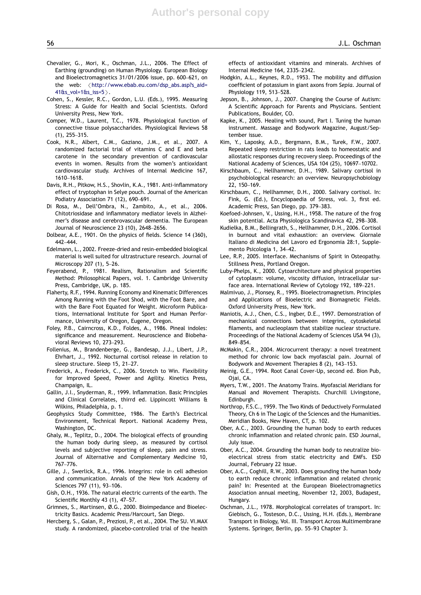56 J.L. Oschman

- Chevalier, G., Mori, K., Oschman, J.L., 2006. The Effect of Earthing (grounding) on Human Physiology. European Biology and Bioelectromagnetics 31/01/2006 issue, pp. 600–621, on the web:  $\langle$ http://www.ebab.eu.com/dsp\_abs.asp?s\_aid=  $41@s_vol=1@s_is=5$ .
- Cohen, S., Kessler, R.C., Gordon, L.U. (Eds.), 1995. Measuring Stress: A Guide for Health and Social Scientists. Oxford University Press, New York.
- Comper, W.D., Laurent, T.C., 1978. Physiological function of connective tissue polysaccharides. Physiological Reviews 58 (1), 255–315.
- Cook, N.R., Albert, C.M., Gaziano, J.M., et al., 2007. A randomized factorial trial of vitamins C and E and beta carotene in the secondary prevention of cardiovascular events in women. Results from the women's antioxidant cardiovascular study. Archives of Internal Medicine 167, 1610–1618.
- Davis, R.H., Pitkow, H.S., Shovlin, K.A., 1981. Anti-inflammatory effect of tryptophan in Selye pouch. Journal of the American Podiatry Association 71 (12), 690–691.
- Di Rosa, M., Dell'Ombra, N., Zambito, A., et al., 2006. Chitotriosidase and inflammatory mediator levels in Alzheimer's disease and cerebrovascular dementia. The European Journal of Neuroscience 23 (10), 2648–2656.
- Dolbear, A.E., 1901. On the physics of fields. Science 14 (360), 442–444.
- Edelmann, L., 2002. Freeze-dried and resin-embedded biological material is well suited for ultrastructure research. Journal of Microscopy 207 (1), 5–26.
- Feyerabend, P., 1981. Realism, Rationalism and Scientific Method: Philosophical Papers, vol. 1. Cambridge University Press, Cambridge, UK, p. 185.
- Flaherty, R.F., 1994. Running Economy and Kinematic Differences Among Running with the Foot Shod, with the Foot Bare, and with the Bare Foot Equated for Weight. Microform Publications, International Institute for Sport and Human Performance, University of Oregon, Eugene, Oregon.
- Foley, P.B., Cairncross, K.D., Foldes, A., 1986. Pineal indoles: significance and measurement. Neuroscience and Biobehavioral Reviews 10, 273–293.
- Follenius, M., Brandenberge, G., Bandesap, J.J., Libert, J.P., Ehrhart, J., 1992. Nocturnal cortisol release in relation to sleep structure. Sleep 15, 21–27.
- Frederick, A., Frederick, C., 2006. Stretch to Win. Flexibility for Improved Speed, Power and Agility. Kinetics Press, Champaign, IL.
- Gallin, J.I., Snyderman, R., 1999. Inflammation. Basic Principles and Clinical Correlates, thirrd ed. Lippincott Williams & Wilkins, Philadelphia, p. 1.
- Geophysics Study Committee, 1986. The Earth's Electrical Environment, Technical Report. National Academy Press, Washington, DC.
- Ghaly, M., Teplitz, D., 2004. The biological effects of grounding the human body during sleep, as measured by cortisol levels and subjective reporting of sleep, pain and stress. Journal of Alternative and Complementary Medicine 10, 767–776.
- Gille, J., Swerlick, R.A., 1996. Integrins: role in cell adhesion and communication. Annals of the New York Academy of Sciences 797 (11), 93–106.
- Gish, O.H., 1936. The natural electric currents of the earth. The Scientific Monthly 43 (1), 47–57.
- Grimnes, S., Martinsen, Ø.G., 2000. Bioimpedance and Bioelectricity Basics. Academic Press/Harcourt, San Diego.
- Hercberg, S., Galan, P., Preziosi, P., et al., 2004. The SU. VI.MAX study. A randomized, placebo-controlled trial of the health

effects of antioxidant vitamins and minerals. Archives of Internal Medicine 164, 2335–2342.

- Hodgkin, A.L., Keynes, R.D., 1953. The mobility and diffusion coefficient of potassium in giant axons from Sepia. Journal of Physiology 119, 513–528.
- Jepson, B., Johnson, J., 2007. Changing the Course of Autism: A Scientific Approach for Parents and Physicians. Sentient Publications, Boulder, CO.
- Kapke, K., 2005. Healing with sound, Part I. Tuning the human instrument. Massage and Bodywork Magazine, August/September issue.
- Kim, Y., Laposky, A.D., Bergmann, B.M., Turek, F.W., 2007. Repeated sleep restriction in rats leads to homeostatic and allostatic responses during recovery sleep. Proceedings of the National Academy of Sciences, USA 104 (25), 10697–10702.
- Kirschbaum, C., Hellhammer, D.H., 1989. Salivary cortisol in psychobiological research: an overview. Neuropsychobiology 22, 150–169.
- Kirschbaum, C., Hellhammer, D.H., 2000. Salivary cortisol. In: Fink, G. (Ed.), Encyclopaedia of Stress, vol. 3, first ed. Academic Press, San Diego, pp. 379–383.
- Koefoed-Johnsen, V., Ussing, H.H., 1958. The nature of the frog skin potential. Acta Physiologica Scandinavica 42, 298–308.
- Kudielka, B.M., Bellingrath, S., Hellhammer, D.H., 2006. Cortisol in burnout and vital exhaustion: an overview. Giornale Italiano di Medicina del Lavoro ed Ergonomia 28:1, Supplemento Psicologia 1, 34–42.
- Lee, R.P., 2005. Interface. Mechanisms of Spirit in Osteopathy. Stillness Press, Portland Oregon.
- Luby-Phelps, K., 2000. Cytoarchitecture and physical properties of cytoplasm: volume, viscosity diffusion, intracellular surface area. International Review of Cytology 192, 189–221.
- Malmivuo, J., Plonsey, R., 1995. Bioelectromagnetism. Principles and Applications of Bioelectric and Biomagnetic Fields. Oxford University Press, New York.
- Maniotis, A.J., Chen, C.S., Ingber, D.E., 1997. Demonstration of mechanical connections between integrins, cytoskeletal filaments, and nucleoplasm that stabilize nuclear structure. Proceedings of the National Academy of Sciences USA 94 (3), 849–854.
- McMakin, C.R., 2004. Microcurrent therapy: a novel treatment method for chronic low back myofascial pain. Journal of Bodywork and Movement Therapies 8 (2), 143–153.
- Meinig, G.E., 1994. Root Canal Cover-Up, second ed. Bion Pub, Ojai, CA.
- Myers, T.W., 2001. The Anatomy Trains. Myofascial Meridians for Manual and Movement Therapists. Churchill Livingstone, Edinburgh.
- Northrop, F.S.C., 1959. The Two Kinds of Deductively Formulated Theory, Ch 6 in The Logic of the Sciences and the Humanities. Meridian Books, New Haven, CT, p. 102.
- Ober, A.C., 2003. Grounding the human body to earth reduces chronic inflammation and related chronic pain. ESD Journal, July issue.
- Ober, A.C., 2004. Grounding the human body to neutralize bioelectrical stress from static electricity and EMFs. ESD Journal, February 22 issue.
- Ober, A.C., Coghill, R.W., 2003. Does grounding the human body to earth reduce chronic inflammation and related chronic pain? In: Presented at the European Bioelectromagnetics Association annual meeting, November 12, 2003, Budapest, Hungary.
- Oschman, J.L., 1978. Morphological correlates of transport. In: Giebisch, G., Tosteson, D.C., Ussing, H.H. (Eds.), Membrane Transport in Biology, Vol. III. Transport Across Multimembrane Systems. Springer, Berlin, pp. 55–93 Chapter 3.